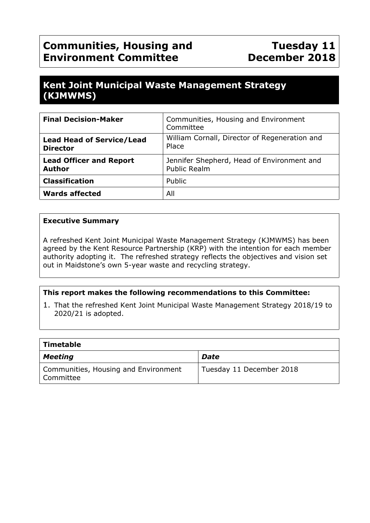# **Communities, Housing and Environment Committee**

## **Kent Joint Municipal Waste Management Strategy (KJMWMS)**

| <b>Final Decision-Maker</b>                         | Communities, Housing and Environment<br>Committee                 |
|-----------------------------------------------------|-------------------------------------------------------------------|
| <b>Lead Head of Service/Lead</b><br><b>Director</b> | William Cornall, Director of Regeneration and<br>Place            |
| <b>Lead Officer and Report</b><br><b>Author</b>     | Jennifer Shepherd, Head of Environment and<br><b>Public Realm</b> |
| <b>Classification</b>                               | Public                                                            |
| <b>Wards affected</b>                               | All                                                               |

#### **Executive Summary**

A refreshed Kent Joint Municipal Waste Management Strategy (KJMWMS) has been agreed by the Kent Resource Partnership (KRP) with the intention for each member authority adopting it. The refreshed strategy reflects the objectives and vision set out in Maidstone's own 5-year waste and recycling strategy.

#### **This report makes the following recommendations to this Committee:**

1. That the refreshed Kent Joint Municipal Waste Management Strategy 2018/19 to 2020/21 is adopted.

| Timetable                                         |                          |  |  |  |
|---------------------------------------------------|--------------------------|--|--|--|
| Meeting                                           | Date                     |  |  |  |
| Communities, Housing and Environment<br>Committee | Tuesday 11 December 2018 |  |  |  |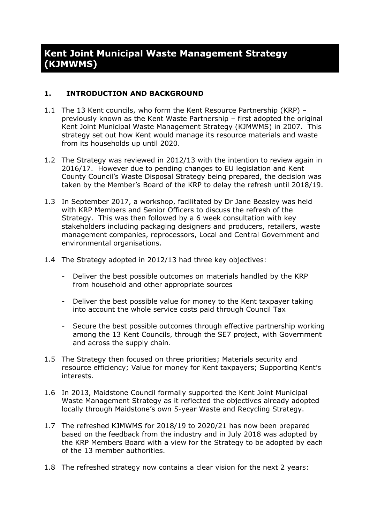### **Kent Joint Municipal Waste Management Strategy (KJMWMS)**

#### **1. INTRODUCTION AND BACKGROUND**

- 1.1 The 13 Kent councils, who form the Kent Resource Partnership (KRP) previously known as the Kent Waste Partnership – first adopted the original Kent Joint Municipal Waste Management Strategy (KJMWMS) in 2007. This strategy set out how Kent would manage its resource materials and waste from its households up until 2020.
- 1.2 The Strategy was reviewed in 2012/13 with the intention to review again in 2016/17. However due to pending changes to EU legislation and Kent County Council's Waste Disposal Strategy being prepared, the decision was taken by the Member's Board of the KRP to delay the refresh until 2018/19.
- 1.3 In September 2017, a workshop, facilitated by Dr Jane Beasley was held with KRP Members and Senior Officers to discuss the refresh of the Strategy. This was then followed by a 6 week consultation with key stakeholders including packaging designers and producers, retailers, waste management companies, reprocessors, Local and Central Government and environmental organisations.
- 1.4 The Strategy adopted in 2012/13 had three key objectives:
	- Deliver the best possible outcomes on materials handled by the KRP from household and other appropriate sources
	- Deliver the best possible value for money to the Kent taxpayer taking into account the whole service costs paid through Council Tax
	- Secure the best possible outcomes through effective partnership working among the 13 Kent Councils, through the SE7 project, with Government and across the supply chain.
- 1.5 The Strategy then focused on three priorities; Materials security and resource efficiency; Value for money for Kent taxpayers; Supporting Kent's interests.
- 1.6 In 2013, Maidstone Council formally supported the Kent Joint Municipal Waste Management Strategy as it reflected the objectives already adopted locally through Maidstone's own 5-year Waste and Recycling Strategy.
- 1.7 The refreshed KJMWMS for 2018/19 to 2020/21 has now been prepared based on the feedback from the industry and in July 2018 was adopted by the KRP Members Board with a view for the Strategy to be adopted by each of the 13 member authorities.
- 1.8 The refreshed strategy now contains a clear vision for the next 2 years: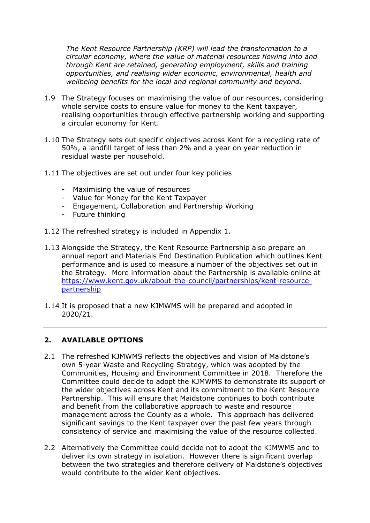*The Kent Resource Partnership (KRP) will lead the transformation to a circular economy, where the value of material resources flowing into and through Kent are retained, generating employment, skills and training opportunities, and realising wider economic, environmental, health and wellbeing benefits for the local and regional community and beyond.*

- 1.9 The Strategy focuses on maximising the value of our resources, considering whole service costs to ensure value for money to the Kent taxpayer, realising opportunities through effective partnership working and supporting a circular economy for Kent.
- 1.10 The Strategy sets out specific objectives across Kent for a recycling rate of 50%, a landfill target of less than 2% and a year on year reduction in residual waste per household.
- 1.11 The objectives are set out under four key policies
	- Maximising the value of resources
	- Value for Money for the Kent Taxpayer
	- Engagement, Collaboration and Partnership Working
	- Future thinking
- 1.12 The refreshed strategy is included in Appendix 1.
- 1.13 Alongside the Strategy, the Kent Resource Partnership also prepare an annual report and Materials End Destination Publication which outlines Kent performance and is used to measure a number of the objectives set out in the Strategy. More information about the Partnership is available online at [https://www.kent.gov.uk/about-the-council/partnerships/kent-resource](https://www.kent.gov.uk/about-the-council/partnerships/kent-resource-partnership)[partnership](https://www.kent.gov.uk/about-the-council/partnerships/kent-resource-partnership)
- 1.14 It is proposed that a new KJMWMS will be prepared and adopted in 2020/21.

#### **2. AVAILABLE OPTIONS**

- 2.1 The refreshed KJMWMS reflects the objectives and vision of Maidstone's own 5-year Waste and Recycling Strategy, which was adopted by the Communities, Housing and Environment Committee in 2018. Therefore the Committee could decide to adopt the KJMWMS to demonstrate its support of the wider objectives across Kent and its commitment to the Kent Resource Partnership. This will ensure that Maidstone continues to both contribute and benefit from the collaborative approach to waste and resource management across the County as a whole. This approach has delivered significant savings to the Kent taxpayer over the past few years through consistency of service and maximising the value of the resource collected.
- 2.2 Alternatively the Committee could decide not to adopt the KJMWMS and to deliver its own strategy in isolation. However there is significant overlap between the two strategies and therefore delivery of Maidstone's objectives would contribute to the wider Kent objectives.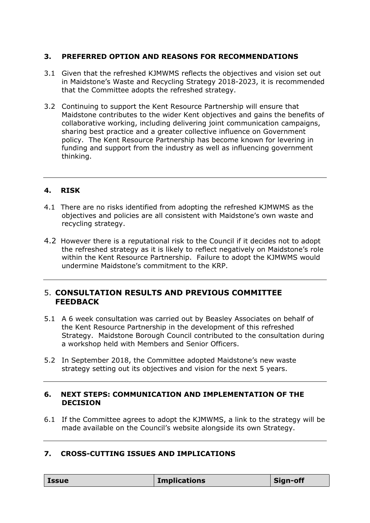#### **3. PREFERRED OPTION AND REASONS FOR RECOMMENDATIONS**

- 3.1 Given that the refreshed KJMWMS reflects the objectives and vision set out in Maidstone's Waste and Recycling Strategy 2018-2023, it is recommended that the Committee adopts the refreshed strategy.
- 3.2 Continuing to support the Kent Resource Partnership will ensure that Maidstone contributes to the wider Kent objectives and gains the benefits of collaborative working, including delivering joint communication campaigns, sharing best practice and a greater collective influence on Government policy. The Kent Resource Partnership has become known for levering in funding and support from the industry as well as influencing government thinking.

#### **4. RISK**

- 4.1 There are no risks identified from adopting the refreshed KJMWMS as the objectives and policies are all consistent with Maidstone's own waste and recycling strategy.
- 4.2 However there is a reputational risk to the Council if it decides not to adopt the refreshed strategy as it is likely to reflect negatively on Maidstone's role within the Kent Resource Partnership. Failure to adopt the KJMWMS would undermine Maidstone's commitment to the KRP.

#### 5. **CONSULTATION RESULTS AND PREVIOUS COMMITTEE FEEDBACK**

- 5.1 A 6 week consultation was carried out by Beasley Associates on behalf of the Kent Resource Partnership in the development of this refreshed Strategy. Maidstone Borough Council contributed to the consultation during a workshop held with Members and Senior Officers.
- 5.2 In September 2018, the Committee adopted Maidstone's new waste strategy setting out its objectives and vision for the next 5 years.

#### **6. NEXT STEPS: COMMUNICATION AND IMPLEMENTATION OF THE DECISION**

6.1 If the Committee agrees to adopt the KJMWMS, a link to the strategy will be made available on the Council's website alongside its own Strategy.

#### **7. CROSS-CUTTING ISSUES AND IMPLICATIONS**

| <b>Issue</b> | <b>Implications</b> | Sign-off |
|--------------|---------------------|----------|
|--------------|---------------------|----------|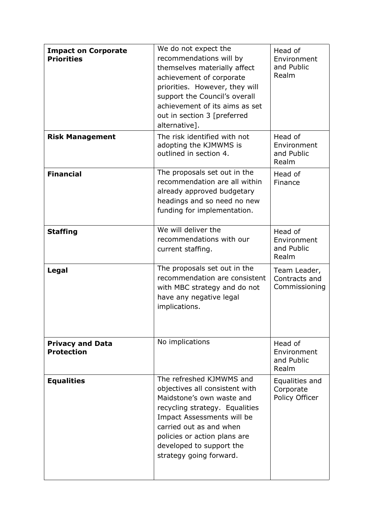| <b>Impact on Corporate</b><br><b>Priorities</b> | We do not expect the<br>recommendations will by<br>themselves materially affect<br>achievement of corporate<br>priorities. However, they will<br>support the Council's overall<br>achievement of its aims as set<br>out in section 3 [preferred<br>alternative].          | Head of<br>Environment<br>and Public<br>Realm  |
|-------------------------------------------------|---------------------------------------------------------------------------------------------------------------------------------------------------------------------------------------------------------------------------------------------------------------------------|------------------------------------------------|
| <b>Risk Management</b>                          | The risk identified with not<br>adopting the KJMWMS is<br>outlined in section 4.                                                                                                                                                                                          | Head of<br>Environment<br>and Public<br>Realm  |
| <b>Financial</b>                                | The proposals set out in the<br>recommendation are all within<br>already approved budgetary<br>headings and so need no new<br>funding for implementation.                                                                                                                 | Head of<br>Finance                             |
| <b>Staffing</b>                                 | We will deliver the<br>recommendations with our<br>current staffing.                                                                                                                                                                                                      | Head of<br>Environment<br>and Public<br>Realm  |
| Legal                                           | The proposals set out in the<br>recommendation are consistent<br>with MBC strategy and do not<br>have any negative legal<br>implications.                                                                                                                                 | Team Leader,<br>Contracts and<br>Commissioning |
| <b>Privacy and Data</b><br><b>Protection</b>    | No implications                                                                                                                                                                                                                                                           | Head of<br>Environment<br>and Public<br>Realm  |
| <b>Equalities</b>                               | The refreshed KJMWMS and<br>objectives all consistent with<br>Maidstone's own waste and<br>recycling strategy. Equalities<br>Impact Assessments will be<br>carried out as and when<br>policies or action plans are<br>developed to support the<br>strategy going forward. | Equalities and<br>Corporate<br>Policy Officer  |